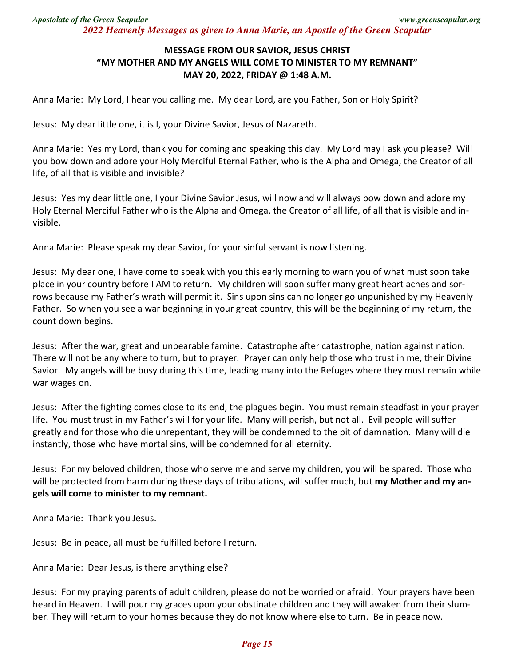## **MESSAGE FROM OUR SAVIOR, JESUS CHRIST "MY MOTHER AND MY ANGELS WILL COME TO MINISTER TO MY REMNANT" MAY 20, 2022, FRIDAY @ 1:48 A.M.**

Anna Marie: My Lord, I hear you calling me. My dear Lord, are you Father, Son or Holy Spirit?

Jesus: My dear little one, it is I, your Divine Savior, Jesus of Nazareth.

Anna Marie: Yes my Lord, thank you for coming and speaking this day. My Lord may I ask you please? Will you bow down and adore your Holy Merciful Eternal Father, who is the Alpha and Omega, the Creator of all life, of all that is visible and invisible?

Jesus: Yes my dear little one, I your Divine Savior Jesus, will now and will always bow down and adore my Holy Eternal Merciful Father who is the Alpha and Omega, the Creator of all life, of all that is visible and invisible.

Anna Marie: Please speak my dear Savior, for your sinful servant is now listening.

Jesus: My dear one, I have come to speak with you this early morning to warn you of what must soon take place in your country before I AM to return. My children will soon suffer many great heart aches and sorrows because my Father's wrath will permit it. Sins upon sins can no longer go unpunished by my Heavenly Father. So when you see a war beginning in your great country, this will be the beginning of my return, the count down begins.

Jesus: After the war, great and unbearable famine. Catastrophe after catastrophe, nation against nation. There will not be any where to turn, but to prayer. Prayer can only help those who trust in me, their Divine Savior. My angels will be busy during this time, leading many into the Refuges where they must remain while war wages on.

Jesus: After the fighting comes close to its end, the plagues begin. You must remain steadfast in your prayer life. You must trust in my Father's will for your life. Many will perish, but not all. Evil people will suffer greatly and for those who die unrepentant, they will be condemned to the pit of damnation. Many will die instantly, those who have mortal sins, will be condemned for all eternity.

Jesus: For my beloved children, those who serve me and serve my children, you will be spared. Those who will be protected from harm during these days of tribulations, will suffer much, but **my Mother and my angels will come to minister to my remnant.** 

Anna Marie: Thank you Jesus.

Jesus: Be in peace, all must be fulfilled before I return.

Anna Marie: Dear Jesus, is there anything else?

Jesus: For my praying parents of adult children, please do not be worried or afraid. Your prayers have been heard in Heaven. I will pour my graces upon your obstinate children and they will awaken from their slumber. They will return to your homes because they do not know where else to turn. Be in peace now.